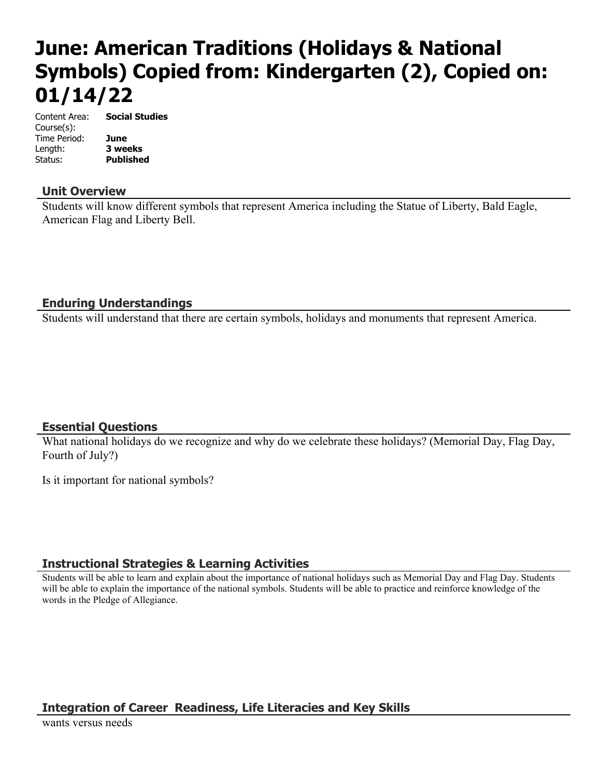# **June: American Traditions (Holidays & National Symbols) Copied from: Kindergarten (2), Copied on: 01/14/22**

Content Area: **Social Studies** Course(s): Time Period: **June** Length: **3 weeks** Status: **Published**

### **Unit Overview**

Students will know different symbols that represent America including the Statue of Liberty, Bald Eagle, American Flag and Liberty Bell.

## **Enduring Understandings**

Students will understand that there are certain symbols, holidays and monuments that represent America.

### **Essential Questions**

What national holidays do we recognize and why do we celebrate these holidays? (Memorial Day, Flag Day, Fourth of July?)

Is it important for national symbols?

### **Instructional Strategies & Learning Activities**

Students will be able to learn and explain about the importance of national holidays such as Memorial Day and Flag Day. Students will be able to explain the importance of the national symbols. Students will be able to practice and reinforce knowledge of the words in the Pledge of Allegiance.

# **Integration of Career Readiness, Life Literacies and Key Skills**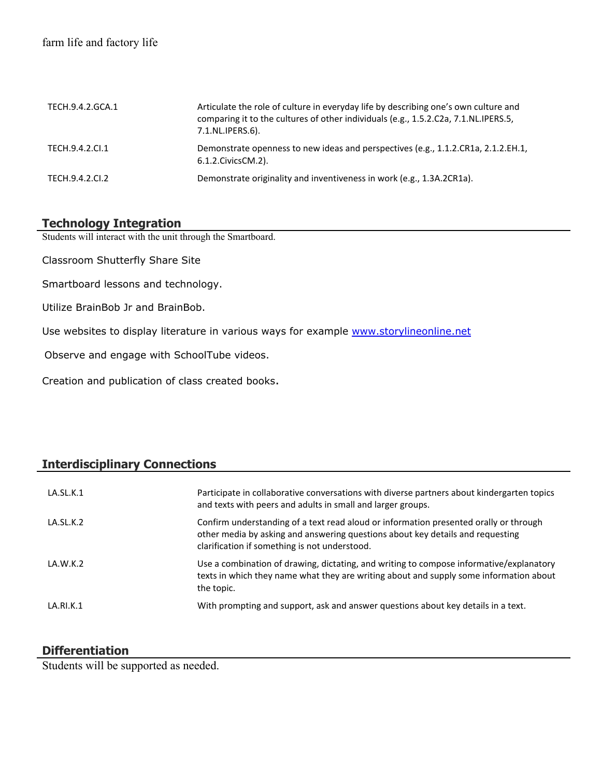| TECH.9.4.2.GCA.1 | Articulate the role of culture in everyday life by describing one's own culture and<br>comparing it to the cultures of other individuals (e.g., 1.5.2.C2a, 7.1.NL.IPERS.5,<br>7.1.NL.IPERS.6). |
|------------------|------------------------------------------------------------------------------------------------------------------------------------------------------------------------------------------------|
| TECH.9.4.2.Cl.1  | Demonstrate openness to new ideas and perspectives (e.g., 1.1.2.CR1a, 2.1.2.EH.1,<br>6.1.2. Civics CM. 2).                                                                                     |
| TECH.9.4.2.CI.2  | Demonstrate originality and inventiveness in work (e.g., 1.3A.2CR1a).                                                                                                                          |

## **Technology Integration**

Students will interact with the unit through the Smartboard.

Classroom Shutterfly Share Site

Smartboard lessons and technology.

Utilize BrainBob Jr and BrainBob.

Use websites to display literature in various ways for example [www.storylineonline.net](http://www.storylineonline.net/)

Observe and engage with SchoolTube videos.

Creation and publication of class created books.

## **Interdisciplinary Connections**

| LA.SL.K.1 | Participate in collaborative conversations with diverse partners about kindergarten topics<br>and texts with peers and adults in small and larger groups.                                                                |
|-----------|--------------------------------------------------------------------------------------------------------------------------------------------------------------------------------------------------------------------------|
| LA.SL.K.2 | Confirm understanding of a text read aloud or information presented orally or through<br>other media by asking and answering questions about key details and requesting<br>clarification if something is not understood. |
| LA.W.K.2  | Use a combination of drawing, dictating, and writing to compose informative/explanatory<br>texts in which they name what they are writing about and supply some information about<br>the topic.                          |
| LA.RI.K.1 | With prompting and support, ask and answer questions about key details in a text.                                                                                                                                        |

### **Differentiation**

Students will be supported as needed.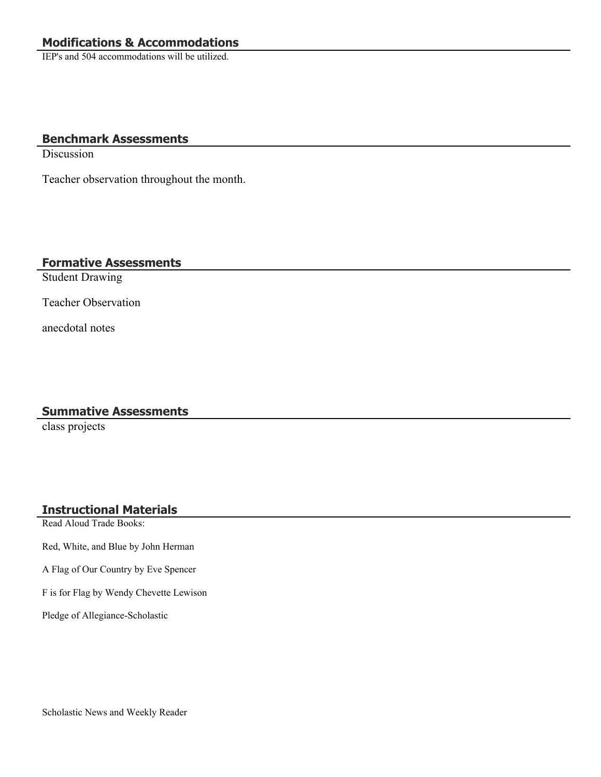IEP's and 504 accommodations will be utilized.

### **Benchmark Assessments**

**Discussion** 

Teacher observation throughout the month.

## **Formative Assessments**

Student Drawing

Teacher Observation

anecdotal notes

## **Summative Assessments**

class projects

## **Instructional Materials**

Read Aloud Trade Books:

Red, White, and Blue by John Herman

A Flag of Our Country by Eve Spencer

F is for Flag by Wendy Chevette Lewison

Pledge of Allegiance-Scholastic

Scholastic News and Weekly Reader